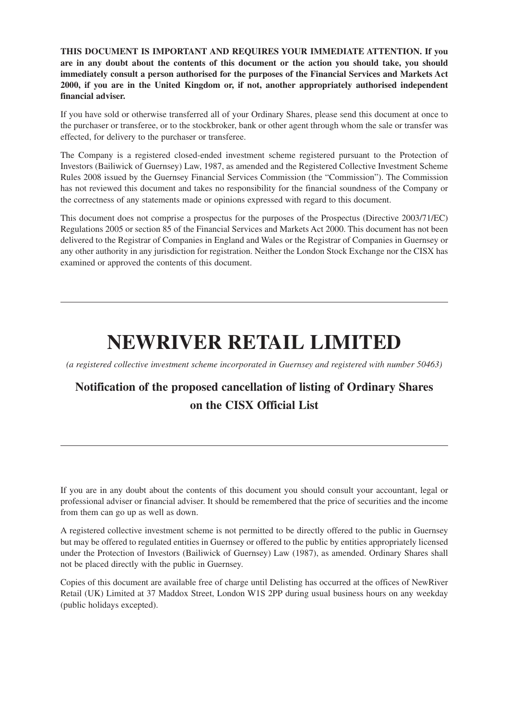**THIS DOCUMENT IS IMPORTANT AND REQUIRES YOUR IMMEDIATE ATTENTION. If you are in any doubt about the contents of this document or the action you should take, you should immediately consult a person authorised for the purposes of the Financial Services and Markets Act 2000, if you are in the United Kingdom or, if not, another appropriately authorised independent financial adviser.**

If you have sold or otherwise transferred all of your Ordinary Shares, please send this document at once to the purchaser or transferee, or to the stockbroker, bank or other agent through whom the sale or transfer was effected, for delivery to the purchaser or transferee.

The Company is a registered closed-ended investment scheme registered pursuant to the Protection of Investors (Bailiwick of Guernsey) Law, 1987, as amended and the Registered Collective Investment Scheme Rules 2008 issued by the Guernsey Financial Services Commission (the "Commission"). The Commission has not reviewed this document and takes no responsibility for the financial soundness of the Company or the correctness of any statements made or opinions expressed with regard to this document.

This document does not comprise a prospectus for the purposes of the Prospectus (Directive 2003/71/EC) Regulations 2005 or section 85 of the Financial Services and Markets Act 2000. This document has not been delivered to the Registrar of Companies in England and Wales or the Registrar of Companies in Guernsey or any other authority in any jurisdiction for registration. Neither the London Stock Exchange nor the CISX has examined or approved the contents of this document.

# **NEWRIVER RETAIL LIMITED**

*(a registered collective investment scheme incorporated in Guernsey and registered with number 50463)*

# **Notification of the proposed cancellation of listing of Ordinary Shares on the CISX Official List**

If you are in any doubt about the contents of this document you should consult your accountant, legal or professional adviser or financial adviser. It should be remembered that the price of securities and the income from them can go up as well as down.

A registered collective investment scheme is not permitted to be directly offered to the public in Guernsey but may be offered to regulated entities in Guernsey or offered to the public by entities appropriately licensed under the Protection of Investors (Bailiwick of Guernsey) Law (1987), as amended. Ordinary Shares shall not be placed directly with the public in Guernsey.

Copies of this document are available free of charge until Delisting has occurred at the offices of NewRiver Retail (UK) Limited at 37 Maddox Street, London W1S 2PP during usual business hours on any weekday (public holidays excepted).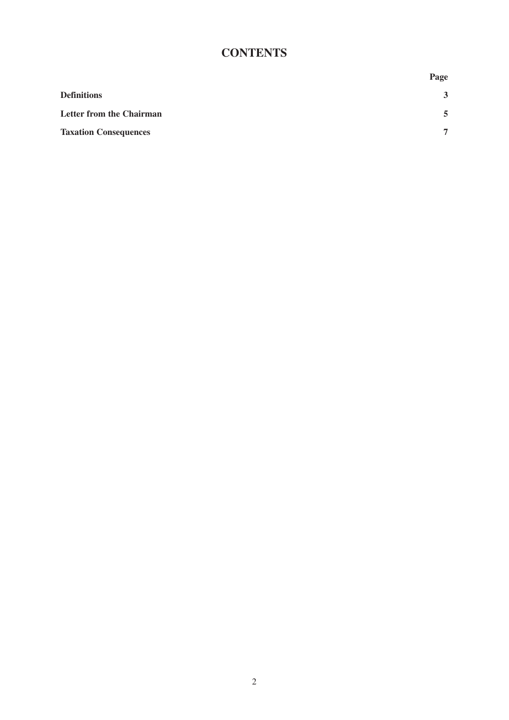## **CONTENTS**

|                                 | Page           |
|---------------------------------|----------------|
| <b>Definitions</b>              | 3              |
| <b>Letter from the Chairman</b> | 5              |
| <b>Taxation Consequences</b>    | $\overline{7}$ |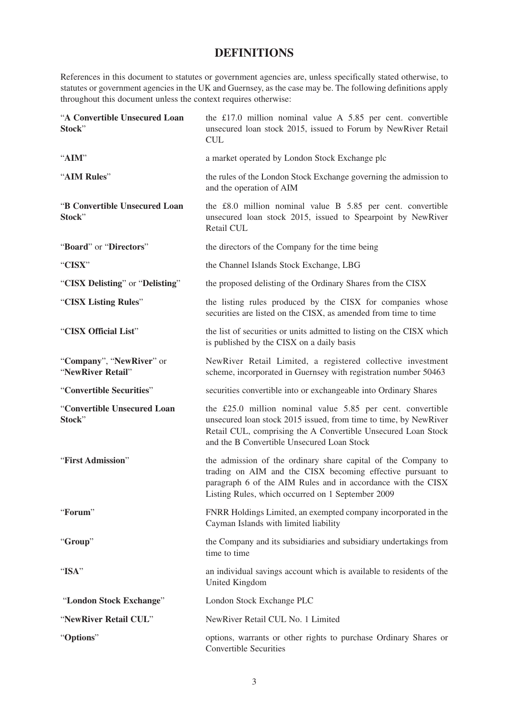### **DEFINITIONS**

References in this document to statutes or government agencies are, unless specifically stated otherwise, to statutes or government agencies in the UK and Guernsey, as the case may be. The following definitions apply throughout this document unless the context requires otherwise:

| "A Convertible Unsecured Loan<br>Stock"       | the £17.0 million nominal value A $5.85$ per cent. convertible<br>unsecured loan stock 2015, issued to Forum by NewRiver Retail<br><b>CUL</b>                                                                                                    |
|-----------------------------------------------|--------------------------------------------------------------------------------------------------------------------------------------------------------------------------------------------------------------------------------------------------|
| "AIM"                                         | a market operated by London Stock Exchange plc                                                                                                                                                                                                   |
| "AIM Rules"                                   | the rules of the London Stock Exchange governing the admission to<br>and the operation of AIM                                                                                                                                                    |
| "B Convertible Unsecured Loan<br>Stock"       | the £8.0 million nominal value B 5.85 per cent. convertible<br>unsecured loan stock 2015, issued to Spearpoint by NewRiver<br>Retail CUL                                                                                                         |
| "Board" or "Directors"                        | the directors of the Company for the time being                                                                                                                                                                                                  |
| "CISX"                                        | the Channel Islands Stock Exchange, LBG                                                                                                                                                                                                          |
| "CISX Delisting" or "Delisting"               | the proposed delisting of the Ordinary Shares from the CISX                                                                                                                                                                                      |
| "CISX Listing Rules"                          | the listing rules produced by the CISX for companies whose<br>securities are listed on the CISX, as amended from time to time                                                                                                                    |
| "CISX Official List"                          | the list of securities or units admitted to listing on the CISX which<br>is published by the CISX on a daily basis                                                                                                                               |
| "Company", "NewRiver" or<br>"NewRiver Retail" | NewRiver Retail Limited, a registered collective investment<br>scheme, incorporated in Guernsey with registration number 50463                                                                                                                   |
| "Convertible Securities"                      | securities convertible into or exchangeable into Ordinary Shares                                                                                                                                                                                 |
| "Convertible Unsecured Loan<br>Stock"         | the £25.0 million nominal value 5.85 per cent. convertible<br>unsecured loan stock 2015 issued, from time to time, by NewRiver<br>Retail CUL, comprising the A Convertible Unsecured Loan Stock<br>and the B Convertible Unsecured Loan Stock    |
| "First Admission"                             | the admission of the ordinary share capital of the Company to<br>trading on AIM and the CISX becoming effective pursuant to<br>paragraph 6 of the AIM Rules and in accordance with the CISX<br>Listing Rules, which occurred on 1 September 2009 |
| "Forum"                                       | FNRR Holdings Limited, an exempted company incorporated in the<br>Cayman Islands with limited liability                                                                                                                                          |
| "Group"                                       | the Company and its subsidiaries and subsidiary undertakings from<br>time to time                                                                                                                                                                |
| "ISA"                                         | an individual savings account which is available to residents of the<br>United Kingdom                                                                                                                                                           |
| "London Stock Exchange"                       | London Stock Exchange PLC                                                                                                                                                                                                                        |
| "NewRiver Retail CUL"                         | NewRiver Retail CUL No. 1 Limited                                                                                                                                                                                                                |
| "Options"                                     | options, warrants or other rights to purchase Ordinary Shares or<br><b>Convertible Securities</b>                                                                                                                                                |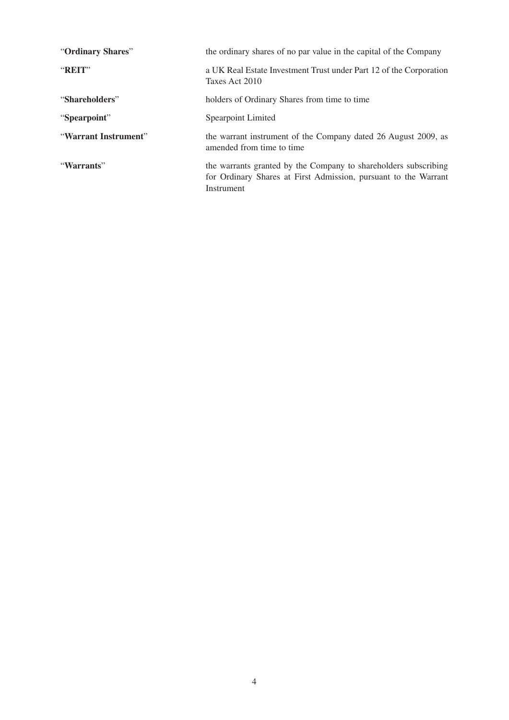| "Ordinary Shares"    | the ordinary shares of no par value in the capital of the Company                                                                                |
|----------------------|--------------------------------------------------------------------------------------------------------------------------------------------------|
| "REIT"               | a UK Real Estate Investment Trust under Part 12 of the Corporation<br>Taxes Act 2010                                                             |
| "Shareholders"       | holders of Ordinary Shares from time to time                                                                                                     |
| "Spearpoint"         | Spearpoint Limited                                                                                                                               |
| "Warrant Instrument" | the warrant instrument of the Company dated 26 August 2009, as<br>amended from time to time                                                      |
| "Warrants"           | the warrants granted by the Company to shareholders subscribing<br>for Ordinary Shares at First Admission, pursuant to the Warrant<br>Instrument |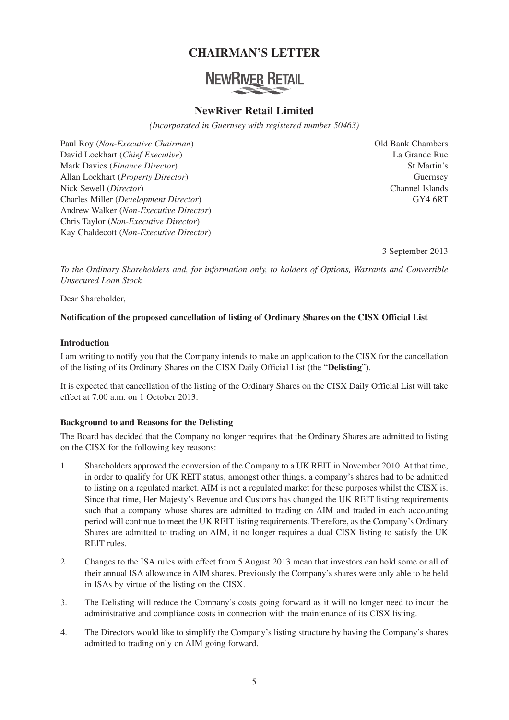## **CHAIRMAN'S LETTER**

# **NEWRIVER RETAIL**

#### **NewRiver Retail Limited**

*(Incorporated in Guernsey with registered number 50463)*

Paul Roy (*Non-Executive Chairman*) Old Bank Chambers David Lockhart (*Chief Executive*) La Grande Rue Mark Davies (*Finance Director*) St Martin's Allan Lockhart (*Property Director*) Guernsey Nick Sewell (*Director*) Channel Islands Charles Miller (*Development Director*) GY4 6RT Andrew Walker (*Non-Executive Director*) Chris Taylor (*Non-Executive Director*) Kay Chaldecott (*Non-Executive Director*)

3 September 2013

*To the Ordinary Shareholders and, for information only, to holders of Options, Warrants and Convertible Unsecured Loan Stock*

Dear Shareholder,

#### **Notification of the proposed cancellation of listing of Ordinary Shares on the CISX Official List**

#### **Introduction**

I am writing to notify you that the Company intends to make an application to the CISX for the cancellation of the listing of its Ordinary Shares on the CISX Daily Official List (the "**Delisting**").

It is expected that cancellation of the listing of the Ordinary Shares on the CISX Daily Official List will take effect at 7.00 a.m. on 1 October 2013.

#### **Background to and Reasons for the Delisting**

The Board has decided that the Company no longer requires that the Ordinary Shares are admitted to listing on the CISX for the following key reasons:

- 1. Shareholders approved the conversion of the Company to a UK REIT in November 2010. At that time, in order to qualify for UK REIT status, amongst other things, a company's shares had to be admitted to listing on a regulated market. AIM is not a regulated market for these purposes whilst the CISX is. Since that time, Her Majesty's Revenue and Customs has changed the UK REIT listing requirements such that a company whose shares are admitted to trading on AIM and traded in each accounting period will continue to meet the UK REIT listing requirements. Therefore, as the Company's Ordinary Shares are admitted to trading on AIM, it no longer requires a dual CISX listing to satisfy the UK REIT rules.
- 2. Changes to the ISA rules with effect from 5 August 2013 mean that investors can hold some or all of their annual ISA allowance in AIM shares. Previously the Company's shares were only able to be held in ISAs by virtue of the listing on the CISX.
- 3. The Delisting will reduce the Company's costs going forward as it will no longer need to incur the administrative and compliance costs in connection with the maintenance of its CISX listing.
- 4. The Directors would like to simplify the Company's listing structure by having the Company's shares admitted to trading only on AIM going forward.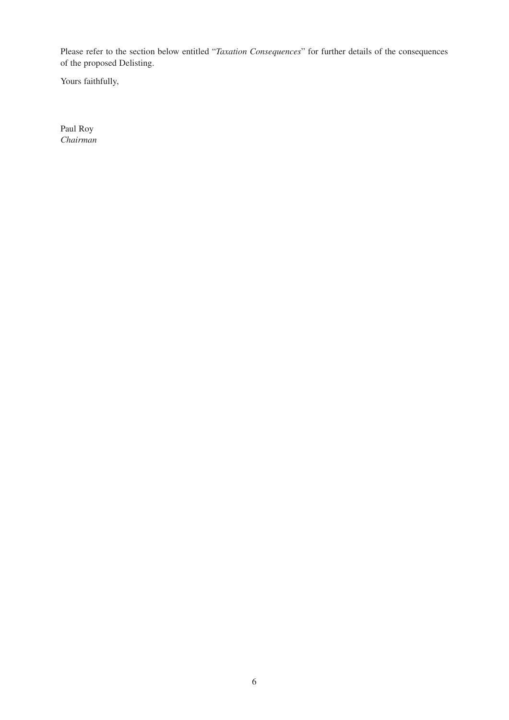Please refer to the section below entitled "*Taxation Consequences*" for further details of the consequences of the proposed Delisting.

Yours faithfully,

Paul Roy *Chairman*